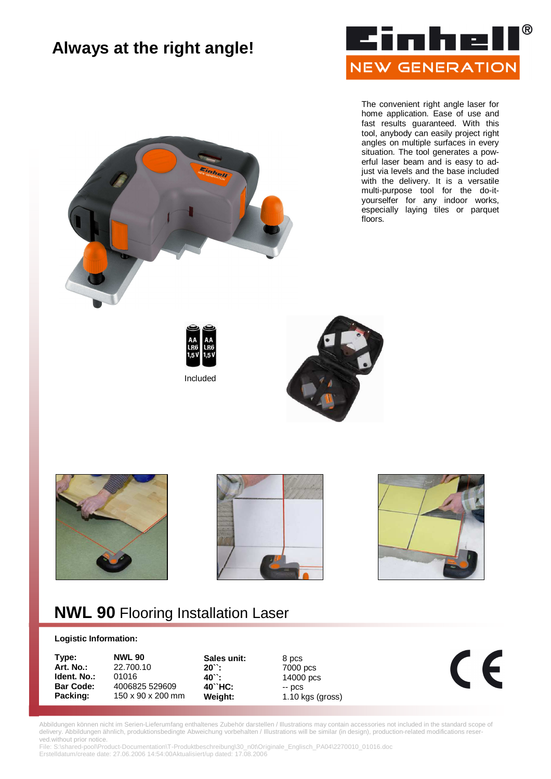## **Always at the right angle!**



The convenient right angle laser for home application. Ease of use and fast results guaranteed. With this tool, anybody can easily project right angles on multiple surfaces in every situation. The tool generates a powerful laser beam and is easy to adjust via levels and the base included with the delivery. It is a versatile multi-purpose tool for the do-ityourselfer for any indoor works, especially laying tiles or parquet floors.













## **NWL 90** Flooring Installation Laser

## **Logistic Information:**

| Type:            | <b>NWL 90</b>     | Sales unit: | 8 pcs              |  |
|------------------|-------------------|-------------|--------------------|--|
| Art. No.:        | 22,700.10         | $20$ .      | 7000 pcs           |  |
| Ident. No.:      | 01016             | $40$ .      | 14000 pcs          |  |
| <b>Bar Code:</b> | 4006825 529609    | $40$ HC:    | $ DCS$             |  |
| Packing:         | 150 x 90 x 200 mm | Weight:     | $1.10$ kgs (gross) |  |
|                  |                   |             |                    |  |

Abbildungen können nicht im Serien-Lieferumfang enthaltenes Zubehör darstellen / Illustrations may contain accessories not included in the standard scope of delivery. Abbildungen ähnlich, produktionsbedingte Abweichung vorbehalten / Illustrations will be similar (in design), production-related modifications reserved.without prior notice.

File: S:\shared-pool\Product-Documentation\T-Produktbeschreibung\30\_n0t\Originale\_Englisch\_PA04\2270010\_01016.doc Erstelldatum/create date: 27.06.2006 14:54:00Aktualisiert/up dated: 17.08.2006